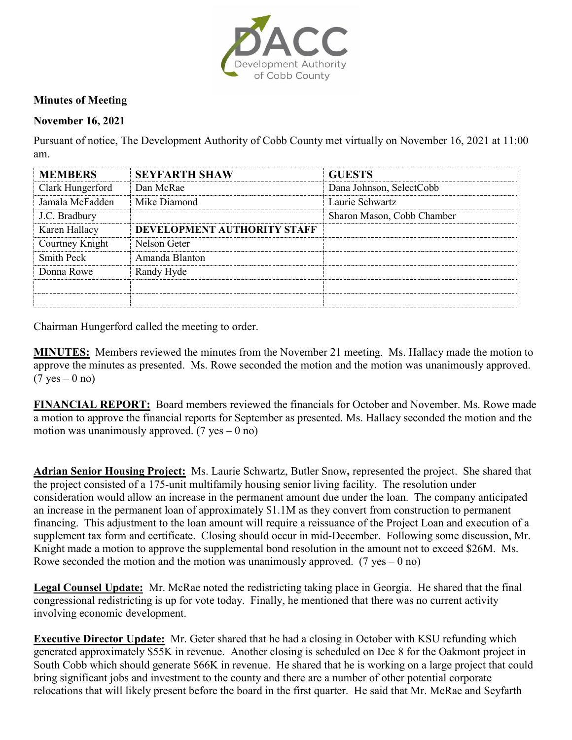

## **Minutes of Meeting**

## **November 16, 2021**

Pursuant of notice, The Development Authority of Cobb County met virtually on November 16, 2021 at 11:00 am.

| <b>MEMBERS</b>   | <b>SEYFARTH SHAW</b>        | <b>GUESTS</b>              |
|------------------|-----------------------------|----------------------------|
| Clark Hungerford | Dan McRae                   | Dana Johnson, SelectCobb   |
| Jamala McFadden  | Mike Diamond                | Laurie Schwartz            |
| J.C. Bradbury    |                             | Sharon Mason, Cobb Chamber |
| Karen Hallacy    | DEVELOPMENT AUTHORITY STAFF |                            |
| Courtney Knight  | Nelson Geter                |                            |
| Smith Peck       | Amanda Blanton              |                            |
| Donna Rowe       | Randy Hyde                  |                            |
|                  |                             |                            |
|                  |                             |                            |

Chairman Hungerford called the meeting to order.

**MINUTES:** Members reviewed the minutes from the November 21 meeting. Ms. Hallacy made the motion to approve the minutes as presented. Ms. Rowe seconded the motion and the motion was unanimously approved.  $(7 \text{ yes} - 0 \text{ no})$ 

**FINANCIAL REPORT:** Board members reviewed the financials for October and November. Ms. Rowe made a motion to approve the financial reports for September as presented. Ms. Hallacy seconded the motion and the motion was unanimously approved.  $(7 \text{ yes} - 0 \text{ no})$ 

**Adrian Senior Housing Project:** Ms. Laurie Schwartz, Butler Snow**,** represented the project. She shared that the project consisted of a 175-unit multifamily housing senior living facility. The resolution under consideration would allow an increase in the permanent amount due under the loan. The company anticipated an increase in the permanent loan of approximately \$1.1M as they convert from construction to permanent financing. This adjustment to the loan amount will require a reissuance of the Project Loan and execution of a supplement tax form and certificate. Closing should occur in mid-December. Following some discussion, Mr. Knight made a motion to approve the supplemental bond resolution in the amount not to exceed \$26M. Ms. Rowe seconded the motion and the motion was unanimously approved. (7 yes – 0 no)

**Legal Counsel Update:** Mr. McRae noted the redistricting taking place in Georgia. He shared that the final congressional redistricting is up for vote today. Finally, he mentioned that there was no current activity involving economic development.

**Executive Director Update:** Mr. Geter shared that he had a closing in October with KSU refunding which generated approximately \$55K in revenue. Another closing is scheduled on Dec 8 for the Oakmont project in South Cobb which should generate \$66K in revenue. He shared that he is working on a large project that could bring significant jobs and investment to the county and there are a number of other potential corporate relocations that will likely present before the board in the first quarter. He said that Mr. McRae and Seyfarth